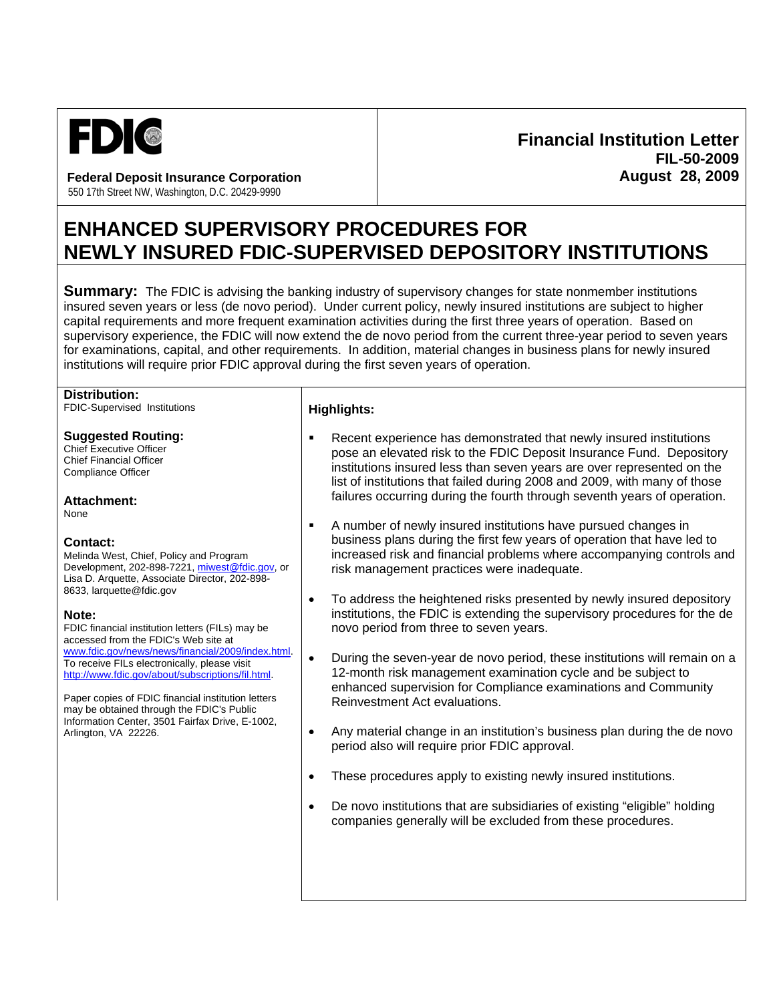

**Federal Deposit Insurance Corporation**  550 17th Street NW, Washington, D.C. 20429-9990

# **Financial Institution Letter FIL-50-2009 August 28, 2009**

# **ENHANCED SUPERVISORY PROCEDURES FOR NEWLY INSURED FDIC-SUPERVISED DEPOSITORY INSTITUTIONS**

**Summary:** The FDIC is advising the banking industry of supervisory changes for state nonmember institutions insured seven years or less (de novo period). Under current policy, newly insured institutions are subject to higher capital requirements and more frequent examination activities during the first three years of operation. Based on supervisory experience, the FDIC will now extend the de novo period from the current three-year period to seven years for examinations, capital, and other requirements. In addition, material changes in business plans for newly insured institutions will require prior FDIC approval during the first seven years of operation.

#### **Distribution:**

FDIC-Supervised Institutions

## **Suggested Routing:**

Chief Executive Officer Chief Financial Officer Compliance Officer

**Attachment:**

None

## **Contact:**

Melinda West, Chief, Policy and Program Development, 202-898-7221, miwest@fdic.gov, or Lisa D. Arquette, Associate Director, 202-898- 8633, larquette@fdic.gov

## **Note:**

FDIC financial institution letters (FILs) may be accessed from the FDIC's Web site at www.fdic.gov/news/news/financial/2009/index.html. To receive FILs electronically, please visit http://www.fdic.gov/about/subscriptions/fil.html.

Paper copies of FDIC financial institution letters may be obtained through the FDIC's Public Information Center, 3501 Fairfax Drive, E-1002, Arlington, VA 22226.

## **Highlights:**

- Recent experience has demonstrated that newly insured institutions pose an elevated risk to the FDIC Deposit Insurance Fund. Depository institutions insured less than seven years are over represented on the list of institutions that failed during 2008 and 2009, with many of those failures occurring during the fourth through seventh years of operation.
- A number of newly insured institutions have pursued changes in business plans during the first few years of operation that have led to increased risk and financial problems where accompanying controls and risk management practices were inadequate.
- To address the heightened risks presented by newly insured depository institutions, the FDIC is extending the supervisory procedures for the de novo period from three to seven years.
- During the seven-year de novo period, these institutions will remain on a 12-month risk management examination cycle and be subject to enhanced supervision for Compliance examinations and Community Reinvestment Act evaluations.
- Any material change in an institution's business plan during the de novo period also will require prior FDIC approval.
- These procedures apply to existing newly insured institutions.
- De novo institutions that are subsidiaries of existing "eligible" holding companies generally will be excluded from these procedures.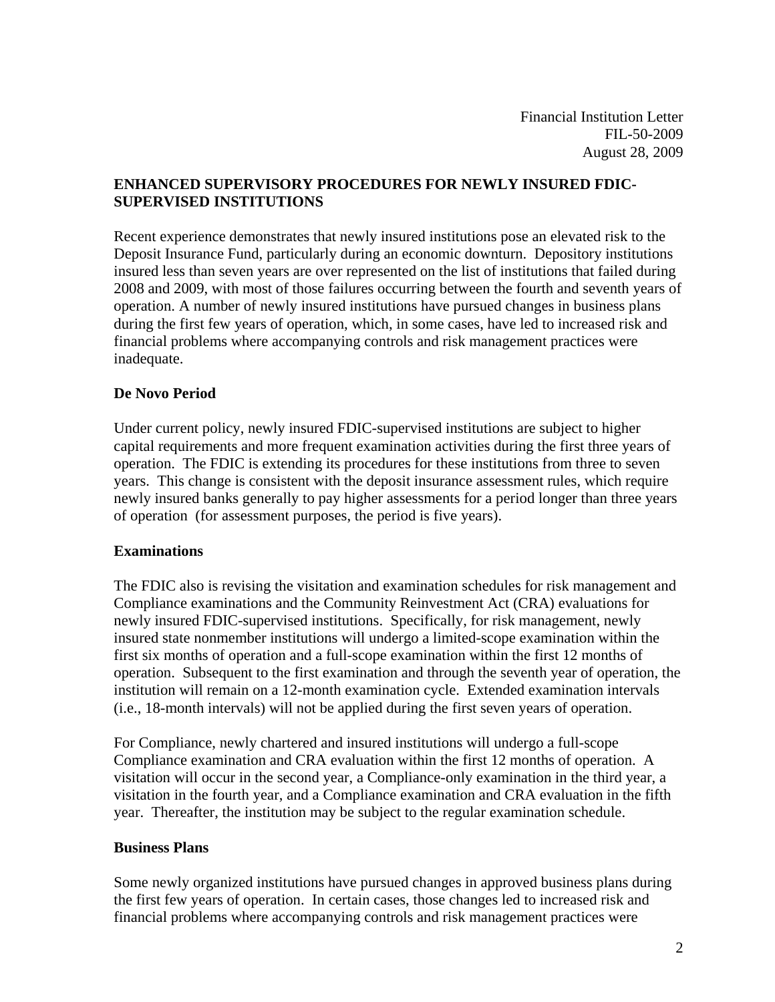# **ENHANCED SUPERVISORY PROCEDURES FOR NEWLY INSURED FDIC-SUPERVISED INSTITUTIONS**

Recent experience demonstrates that newly insured institutions pose an elevated risk to the Deposit Insurance Fund, particularly during an economic downturn. Depository institutions insured less than seven years are over represented on the list of institutions that failed during 2008 and 2009, with most of those failures occurring between the fourth and seventh years of operation. A number of newly insured institutions have pursued changes in business plans during the first few years of operation, which, in some cases, have led to increased risk and financial problems where accompanying controls and risk management practices were inadequate.

# **De Novo Period**

Under current policy, newly insured FDIC-supervised institutions are subject to higher capital requirements and more frequent examination activities during the first three years of operation. The FDIC is extending its procedures for these institutions from three to seven years. This change is consistent with the deposit insurance assessment rules, which require newly insured banks generally to pay higher assessments for a period longer than three years of operation (for assessment purposes, the period is five years).

## **Examinations**

The FDIC also is revising the visitation and examination schedules for risk management and Compliance examinations and the Community Reinvestment Act (CRA) evaluations for newly insured FDIC-supervised institutions. Specifically, for risk management, newly insured state nonmember institutions will undergo a limited-scope examination within the first six months of operation and a full-scope examination within the first 12 months of operation. Subsequent to the first examination and through the seventh year of operation, the institution will remain on a 12-month examination cycle. Extended examination intervals (i.e., 18-month intervals) will not be applied during the first seven years of operation.

For Compliance, newly chartered and insured institutions will undergo a full-scope Compliance examination and CRA evaluation within the first 12 months of operation. A visitation will occur in the second year, a Compliance-only examination in the third year, a visitation in the fourth year, and a Compliance examination and CRA evaluation in the fifth year. Thereafter, the institution may be subject to the regular examination schedule.

## **Business Plans**

Some newly organized institutions have pursued changes in approved business plans during the first few years of operation. In certain cases, those changes led to increased risk and financial problems where accompanying controls and risk management practices were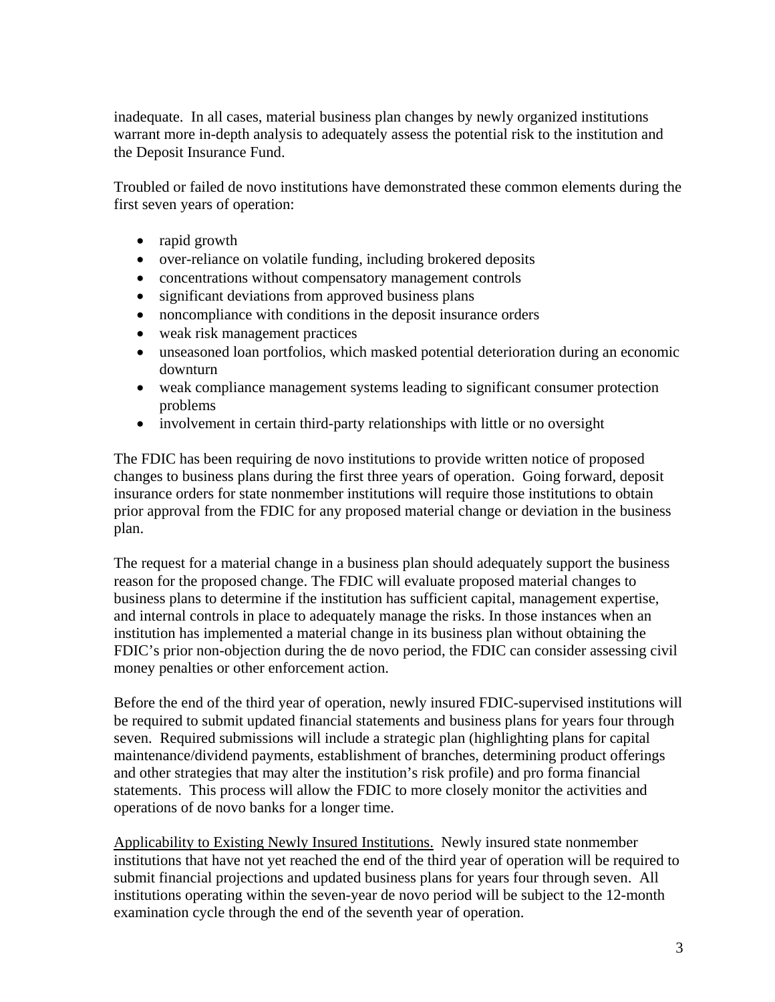inadequate. In all cases, material business plan changes by newly organized institutions warrant more in-depth analysis to adequately assess the potential risk to the institution and the Deposit Insurance Fund.

Troubled or failed de novo institutions have demonstrated these common elements during the first seven years of operation:

- rapid growth
- over-reliance on volatile funding, including brokered deposits
- concentrations without compensatory management controls
- significant deviations from approved business plans
- noncompliance with conditions in the deposit insurance orders
- weak risk management practices
- unseasoned loan portfolios, which masked potential deterioration during an economic downturn
- weak compliance management systems leading to significant consumer protection problems
- involvement in certain third-party relationships with little or no oversight

The FDIC has been requiring de novo institutions to provide written notice of proposed changes to business plans during the first three years of operation. Going forward, deposit insurance orders for state nonmember institutions will require those institutions to obtain prior approval from the FDIC for any proposed material change or deviation in the business plan.

The request for a material change in a business plan should adequately support the business reason for the proposed change. The FDIC will evaluate proposed material changes to business plans to determine if the institution has sufficient capital, management expertise, and internal controls in place to adequately manage the risks. In those instances when an institution has implemented a material change in its business plan without obtaining the FDIC's prior non-objection during the de novo period, the FDIC can consider assessing civil money penalties or other enforcement action.

Before the end of the third year of operation, newly insured FDIC-supervised institutions will be required to submit updated financial statements and business plans for years four through seven. Required submissions will include a strategic plan (highlighting plans for capital maintenance/dividend payments, establishment of branches, determining product offerings and other strategies that may alter the institution's risk profile) and pro forma financial statements. This process will allow the FDIC to more closely monitor the activities and operations of de novo banks for a longer time.

Applicability to Existing Newly Insured Institutions. Newly insured state nonmember institutions that have not yet reached the end of the third year of operation will be required to submit financial projections and updated business plans for years four through seven. All institutions operating within the seven-year de novo period will be subject to the 12-month examination cycle through the end of the seventh year of operation.